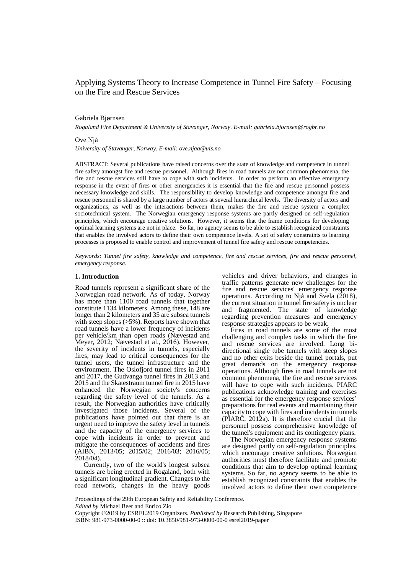# Applying Systems Theory to Increase Competence in Tunnel Fire Safety – Focusing on the Fire and Rescue Services

## Gabriela Bjørnsen

*Rogaland Fire Department & University of Stavanger, Norway. E-mail: gabriela.bjornsen@rogbr.no*

# Ove Njå

*University of Stavanger, Norway. E-mail: ove.njaa@uis.no*

ABSTRACT: Several publications have raised concerns over the state of knowledge and competence in tunnel fire safety amongst fire and rescue personnel. Although fires in road tunnels are not common phenomena, the fire and rescue services still have to cope with such incidents. In order to perform an effective emergency response in the event of fires or other emergencies it is essential that the fire and rescue personnel possess necessary knowledge and skills. The responsibility to develop knowledge and competence amongst fire and rescue personnel is shared by a large number of actors at several hierarchical levels. The diversity of actors and organizations, as well as the interactions between them, makes the fire and rescue system a complex sociotechnical system. The Norwegian emergency response systems are partly designed on self-regulation principles, which encourage creative solutions. However, it seems that the frame conditions for developing optimal learning systems are not in place. So far, no agency seems to be able to establish recognized constraints that enables the involved actors to define their own competence levels. A set of safety constraints to learning processes is proposed to enable control and improvement of tunnel fire safety and rescue competencies.

*Keywords*: *Tunnel fire safety, knowledge and competence, fire and rescue services, fire and rescue personnel, emergency response.*

#### **1. Introduction**

Road tunnels represent a significant share of the Norwegian road network. As of today, Norway has more than 1100 road tunnels that together constitute 1134 kilometers. Among these, 148 are longer than 2 kilometers and 35 are subsea tunnels with steep slopes ( $>5\%$ ). Reports have shown that road tunnels have a lower frequency of incidents per vehicle/km than open roads (Nævestad and Meyer, 2012; Nævestad et al., 2016). However, the severity of incidents in tunnels, especially fires, may lead to critical consequences for the tunnel users, the tunnel infrastructure and the environment. The Oslofjord tunnel fires in 2011 and 2017, the Gudvanga tunnel fires in 2013 and 2015 and the Skatestraum tunnel fire in 2015 have enhanced the Norwegian society's concerns regarding the safety level of the tunnels. As a result, the Norwegian authorities have critically investigated those incidents. Several of the publications have pointed out that there is an urgent need to improve the safety level in tunnels and the capacity of the emergency services to cope with incidents in order to prevent and mitigate the consequences of accidents and fires (AIBN, 2013/05; 2015/02; 2016/03; 2016/05; 2018/04).

 Currently, two of the world's longest subsea tunnels are being erected in Rogaland, both with a significant longitudinal gradient. Changes to the road network, changes in the heavy goods vehicles and driver behaviors, and changes in traffic patterns generate new challenges for the fire and rescue services' emergency response operations. According to Njå and Svela  $(2018)$ , the current situation in tunnel fire safety is unclear and fragmented. The state of knowledge regarding prevention measures and emergency response strategies appears to be weak.

 Fires in road tunnels are some of the most challenging and complex tasks in which the fire and rescue services are involved. Long bidirectional single tube tunnels with steep slopes and no other exits beside the tunnel portals, put great demands on the emergency response operations. Although fires in road tunnels are not common phenomena, the fire and rescue services will have to cope with such incidents. PIARC publications acknowledge training and exercises as essential for the emergency response services' preparations for real events and maintaining their capacity to cope with fires and incidents in tunnels (PIARC, 2012a). It is therefore crucial that the personnel possess comprehensive knowledge of the tunnel's equipment and its contingency plans.

 The Norwegian emergency response systems are designed partly on self-regulation principles, which encourage creative solutions. Norwegian authorities must therefore facilitate and promote conditions that aim to develop optimal learning systems. So far, no agency seems to be able to establish recognized constraints that enables the involved actors to define their own competence

Proceedings of the 29th European Safety and Reliability Conference. *Edited by* Michael Beer and Enrico Zio

Copyright ©2019 by ESREL2019 Organizers. *Published by* Research Publishing, Singapore ISBN: 981-973-0000-00-0 :: doi: 10.3850/981-973-0000-00-0 esrel2019-paper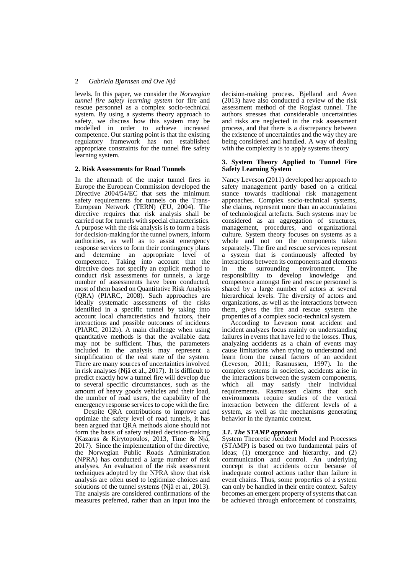levels. In this paper, we consider the *Norwegian tunnel fire safety learning system* for fire and rescue personnel as a complex socio-technical system. By using a systems theory approach to safety, we discuss how this system may be modelled in order to achieve increased competence. Our starting point is that the existing regulatory framework has not established appropriate constraints for the tunnel fire safety learning system.

## **2. Risk Assessments for Road Tunnels**

In the aftermath of the major tunnel fires in Europe the European Commission developed the Directive 2004/54/EC that sets the minimum safety requirements for tunnels on the Trans-European Network (TERN) (EU, 2004). The directive requires that risk analysis shall be carried out for tunnels with special characteristics. A purpose with the risk analysis is to form a basis for decision-making for the tunnel owners, inform authorities, as well as to assist emergency response services to form their contingency plans and determine an appropriate level of competence. Taking into account that the directive does not specify an explicit method to conduct risk assessments for tunnels, a large number of assessments have been conducted, most of them based on Quantitative Risk Analysis (QRA) (PIARC, 2008). Such approaches are ideally systematic assessments of the risks identified in a specific tunnel by taking into account local characteristics and factors, their interactions and possible outcomes of incidents (PIARC, 2012b). A main challenge when using quantitative methods is that the available data may not be sufficient. Thus, the parameters included in the analysis may represent a simplification of the real state of the system. There are many sources of uncertainties involved in risk analyses (Njå et al., 2017). It is difficult to predict exactly how a tunnel fire will develop due to several specific circumstances, such as the amount of heavy goods vehicles and their load, the number of road users, the capability of the emergency response services to cope with the fire.

 Despite QRA contributions to improve and optimize the safety level of road tunnels, it has been argued that QRA methods alone should not form the basis of safety related decision-making (Kazaras & Kirytopoulos, 2013, Time & Njå, 2017). Since the implementation of the directive, the Norwegian Public Roads Administration (NPRA) has conducted a large number of risk analyses. An evaluation of the risk assessment techniques adopted by the NPRA show that risk analysis are often used to legitimize choices and solutions of the tunnel systems (Njå et al., 2013). The analysis are considered confirmations of the measures preferred, rather than an input into the

decision-making process. Bjelland and Aven (2013) have also conducted a review of the risk assessment method of the Rogfast tunnel. The authors stresses that considerable uncertainties and risks are neglected in the risk assessment process, and that there is a discrepancy between the existence of uncertainties and the way they are being considered and handled. A way of dealing with the complexity is to apply systems theory

# **3. System Theory Applied to Tunnel Fire Safety Learning System**

Nancy Leveson (2011) developed her approach to safety management partly based on a critical stance towards traditional risk management approaches. Complex socio-technical systems, she claims, represent more than an accumulation of technological artefacts. Such systems may be considered as an aggregation of structures, management, procedures, and organizational culture. System theory focuses on systems as a whole and not on the components taken separately. The fire and rescue services represent a system that is continuously affected by interactions between its components and elements in the surrounding environment. The responsibility to develop knowledge and competence amongst fire and rescue personnel is shared by a large number of actors at several hierarchical levels. The diversity of actors and organizations, as well as the interactions between them, gives the fire and rescue system the properties of a complex socio-technical system.

 According to Leveson most accident and incident analyzes focus mainly on understanding failures in events that have led to the losses. Thus, analyzing accidents as a chain of events may cause limitations when trying to understand and learn from the causal factors of an accident (Leveson, 2011; Rasmussen, 1997). In the complex systems in societies, accidents arise in the interactions between the system components, which all may satisfy their individual requirements. Rasmussen claims that such environments require studies of the vertical interaction between the different levels of a system, as well as the mechanisms generating behavior in the dynamic context.

## *3.1. The STAMP approach*

System Theoretic Accident Model and Processes (STAMP) is based on two fundamental pairs of ideas; (1) emergence and hierarchy, and (2) communication and control. An underlying concept is that accidents occur because of inadequate control actions rather than failure in event chains. Thus, some properties of a system can only be handled in their entire context. Safety becomes an emergent property of systems that can be achieved through enforcement of constraints,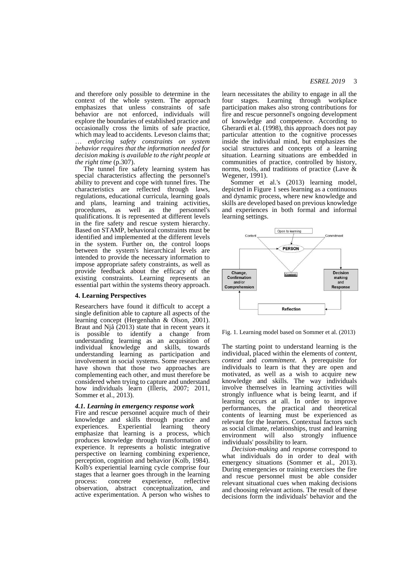and therefore only possible to determine in the context of the whole system. The approach emphasizes that unless constraints of safe behavior are not enforced, individuals will explore the boundaries of established practice and occasionally cross the limits of safe practice, which may lead to accidents. Leveson claims that; … *enforcing safety constraints on system behavior requires that the information needed for decision making is available to the right people at the right time* (p.307).

 The tunnel fire safety learning system has special characteristics affecting the personnel's ability to prevent and cope with tunnel fires. The characteristics are reflected through laws, regulations, educational curricula, learning goals and plans, learning and training activities, procedures, as well as the personnel's qualifications. It is represented at different levels in the fire safety and rescue system hierarchy. Based on STAMP, behavioral constraints must be identified and implemented at the different levels in the system. Further on, the control loops between the system's hierarchical levels are intended to provide the necessary information to impose appropriate safety constraints, as well as provide feedback about the efficacy of the existing constraints. Learning represents an essential part within the systems theory approach.

#### **4. Learning Perspectives**

Researchers have found it difficult to accept a single definition able to capture all aspects of the learning concept (Hergenhahn & Olson, 2001). Braut and Njå (2013) state that in recent years it is possible to identify a change from understanding learning as an acquisition of individual knowledge and skills, towards understanding learning as participation and involvement in social systems. Some researchers have shown that those two approaches are complementing each other, and must therefore be considered when trying to capture and understand how individuals learn (Illeris, 2007; 2011, Sommer et al., 2013).

### *4.1. Learning in emergency response work*

Fire and rescue personnel acquire much of their knowledge and skills through practice and experiences. Experiential learning theory emphasize that learning is a process, which produces knowledge through transformation of experience. It represents a holistic integrative perspective on learning combining experience, perception, cognition and behavior (Kolb, 1984). Kolb's experiential learning cycle comprise four stages that a learner goes through in the learning process: concrete experience, reflective observation, abstract conceptualization, and active experimentation. A person who wishes to

learn necessitates the ability to engage in all the four stages. Learning through workplace participation makes also strong contributions for fire and rescue personnel's ongoing development of knowledge and competence. According to Gherardi et al. (1998), this approach does not pay particular attention to the cognitive processes inside the individual mind, but emphasizes the social structures and concepts of a learning situation. Learning situations are embedded in communities of practice, controlled by history, norms, tools, and traditions of practice (Lave & Wegener, 1991).

 Sommer et al.'s (2013) learning model, depicted in Figure 1 sees learning as a continuous and dynamic process, where new knowledge and skills are developed based on previous knowledge and experiences in both formal and informal learning settings.



Fig. 1. Learning model based on Sommer et al. (2013)

The starting point to understand learning is the individual, placed within the elements of *content*, *context* and *commitment*. A prerequisite for individuals to learn is that they are open and motivated, as well as a wish to acquire new knowledge and skills. The way individuals involve themselves in learning activities will strongly influence what is being learnt, and if learning occurs at all. In order to improve performances, the practical and theoretical contents of learning must be experienced as relevant for the learners. Contextual factors such as social climate, relationships, trust and learning environment will also strongly influence individuals' possibility to learn.

*Decision-making* and *response* correspond to what individuals do in order to deal with emergency situations (Sommer et al., 2013). During emergencies or training exercises the fire and rescue personnel must be able consider relevant situational cues when making decisions and choosing relevant actions. The result of these decisions form the individuals' behavior and the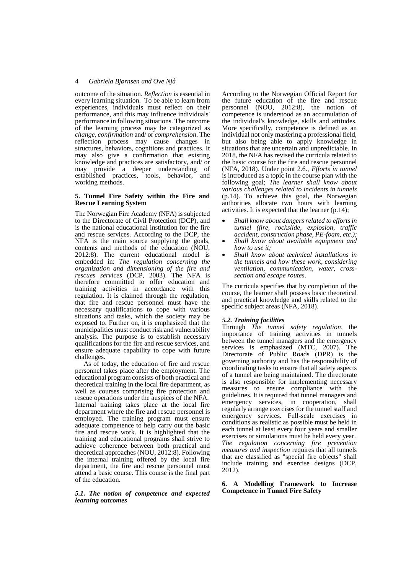outcome of the situation. *Reflection* is essential in every learning situation. To be able to learn from experiences, individuals must reflect on their performance, and this may influence individuals' performance in following situations. The outcome of the learning process may be categorized as *change*, *confirmation* and/ or *comprehension*. The reflection process may cause changes in structures, behaviors, cognitions and practices. It may also give a confirmation that existing knowledge and practices are satisfactory, and/ or may provide a deeper understanding of established practices, tools, behavior, and working methods.

## **5. Tunnel Fire Safety within the Fire and Rescue Learning System**

The Norwegian Fire Academy (NFA) is subjected to the Directorate of Civil Protection (DCP), and is the national educational institution for the fire and rescue services. According to the DCP, the NFA is the main source supplying the goals, contents and methods of the education (NOU, 2012:8). The current educational model is embedded in: *The regulation concerning the organization and dimensioning of the fire and rescues services* (DCP, 2003). The NFA is therefore committed to offer education and training activities in accordance with this regulation. It is claimed through the regulation, that fire and rescue personnel must have the necessary qualifications to cope with various situations and tasks, which the society may be exposed to. Further on, it is emphasized that the municipalities must conduct risk and vulnerability analysis. The purpose is to establish necessary qualifications for the fire and rescue services, and ensure adequate capability to cope with future challenges.

 As of today, the education of fire and rescue personnel takes place after the employment. The educational program consists of both practical and theoretical training in the local fire department, as well as courses comprising fire protection and rescue operations under the auspices of the NFA. Internal training takes place at the local fire department where the fire and rescue personnel is employed. The training program must ensure adequate competence to help carry out the basic fire and rescue work. It is highlighted that the training and educational programs shall strive to achieve coherence between both practical and theoretical approaches (NOU, 2012:8). Following the internal training offered by the local fire department, the fire and rescue personnel must attend a basic course. This course is the final part of the education.

*5.1. The notion of competence and expected learning outcomes*

According to the Norwegian Official Report for the future education of the fire and rescue personnel (NOU, 2012:8), the notion of competence is understood as an accumulation of the individual's knowledge, skills and attitudes. More specifically, competence is defined as an individual not only mastering a professional field, but also being able to apply knowledge in situations that are uncertain and unpredictable. In 2018, the NFA has revised the curricula related to the basic course for the fire and rescue personnel (NFA, 2018). Under point 2.6., *Efforts in tunnel* is introduced as a topic in the course plan with the following goal; *The learner shall know about various challenges related to incidents in tunnels* (p.14). To achieve this goal, the Norwegian authorities allocate two hours with learning activities. It is expected that the learner (p.14);

- *Shall know about dangers related to efforts in tunnel (fire, rockslide, explosion, traffic accident, construction phase, PE-foam, etc.);*
- *Shall know about available equipment and how to use it;*
- *Shall know about technical installations in the tunnels and how these work, considering ventilation, communication, water, crosssection and escape routes*.

The curricula specifies that by completion of the course, the learner shall possess basic theoretical and practical knowledge and skills related to the specific subject areas (NFA, 2018).

# *5.2. Training facilities*

Through *The tunnel safety regulation*, the importance of training activities in tunnels between the tunnel managers and the emergency services is emphasized (MTC, 2007). The Directorate of Public Roads (DPR) is the governing authority and has the responsibility of coordinating tasks to ensure that all safety aspects of a tunnel are being maintained. The directorate is also responsible for implementing necessary measures to ensure compliance with the guidelines. It is required that tunnel managers and emergency services, in cooperation, shall regularly arrange exercises for the tunnel staff and emergency services. Full-scale exercises in conditions as realistic as possible must be held in each tunnel at least every four years and smaller exercises or simulations must be held every year. *The regulation concerning fire prevention measures and inspection* requires that all tunnels that are classified as "special fire objects" shall include training and exercise designs (DCP, 2012).

**6. A Modelling Framework to Increase Competence in Tunnel Fire Safety**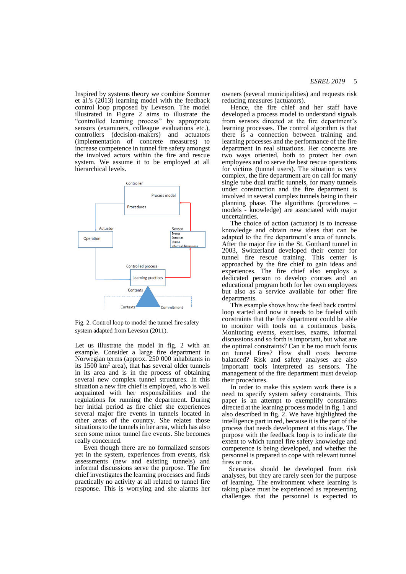Inspired by systems theory we combine Sommer et al.'s (2013) learning model with the feedback control loop proposed by Leveson. The model illustrated in Figure 2 aims to illustrate the "controlled learning process" by appropriate sensors (examiners, colleague evaluations etc.), controllers (decision-makers) and actuators (implementation of concrete measures) to increase competence in tunnel fire safety amongst the involved actors within the fire and rescue system. We assume it to be employed at all hierarchical levels.



Fig. 2. Control loop to model the tunnel fire safety system adapted from Leveson (2011).

Let us illustrate the model in fig. 2 with an example. Consider a large fire department in Norwegian terms (approx. 250 000 inhabitants in its  $1500 \text{ km}^2$  area), that has several older tunnels in its area and is in the process of obtaining several new complex tunnel structures. In this situation a new fire chief is employed, who is well acquainted with her responsibilities and the regulations for running the department. During her initial period as fire chief she experiences several major fire events in tunnels located in other areas of the country. She relates those situations to the tunnels in her area, which has also seen some minor tunnel fire events. She becomes really concerned.

 Even though there are no formalized sensors yet in the system, experiences from events, risk assessments (new and existing tunnels) and informal discussions serve the purpose. The fire chief investigates the learning processes and finds practically no activity at all related to tunnel fire response. This is worrying and she alarms her owners (several municipalities) and requests risk reducing measures (actuators).

 Hence, the fire chief and her staff have developed a process model to understand signals from sensors directed at the fire department's learning processes. The control algorithm is that there is a connection between training and learning processes and the performance of the fire department in real situations. Her concerns are two ways oriented, both to protect her own employees and to serve the best rescue operations for victims (tunnel users). The situation is very complex, the fire department are on call for many single tube dual traffic tunnels, for many tunnels under construction and the fire department is involved in several complex tunnels being in their planning phase. The algorithms (procedures – models - knowledge) are associated with major uncertainties.

 The choice of action (actuator) is to increase knowledge and obtain new ideas that can be adapted to the fire department's area of tunnels. After the major fire in the St. Gotthard tunnel in 2003, Switzerland developed their center for tunnel fire rescue training. This center is approached by the fire chief to gain ideas and experiences. The fire chief also employs a dedicated person to develop courses and an educational program both for her own employees but also as a service available for other fire departments.

 This example shows how the feed back control loop started and now it needs to be fueled with constraints that the fire department could be able to monitor with tools on a continuous basis. Monitoring events, exercises, exams, informal discussions and so forth is important, but what are the optimal constraints? Can it be too much focus on tunnel fires? How shall costs become balanced? Risk and safety analyses are also important tools interpreted as sensors. The management of the fire department must develop their procedures.

 In order to make this system work there is a need to specify system safety constraints. This paper is an attempt to exemplify constraints directed at the learning process model in fig. 1 and also described in fig. 2. We have highlighted the intelligence part in red, because it is the part of the process that needs development at this stage. The purpose with the feedback loop is to indicate the extent to which tunnel fire safety knowledge and competence is being developed, and whether the personnel is prepared to cope with relevant tunnel fires or not.

 Scenarios should be developed from risk analyses, but they are rarely seen for the purpose of learning. The environment where learning is taking place must be experienced as representing challenges that the personnel is expected to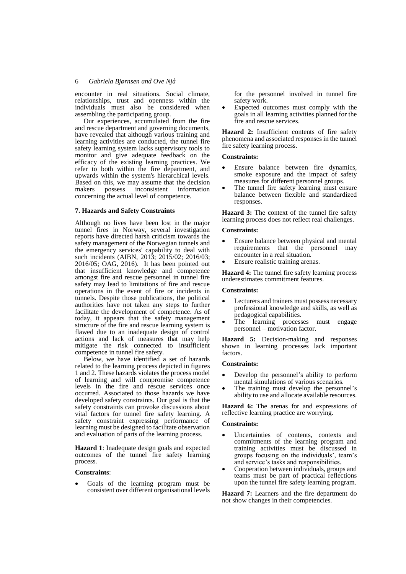encounter in real situations. Social climate, relationships, trust and openness within the individuals must also be considered when assembling the participating group.

 Our experiences, accumulated from the fire and rescue department and governing documents, have revealed that although various training and learning activities are conducted, the tunnel fire safety learning system lacks supervisory tools to monitor and give adequate feedback on the efficacy of the existing learning practices. We refer to both within the fire department, and upwards within the system's hierarchical levels. Based on this, we may assume that the decision<br>makers possess inconsistent information inconsistent concerning the actual level of competence.

## **7. Hazards and Safety Constraints**

Although no lives have been lost in the major tunnel fires in Norway, several investigation reports have directed harsh criticism towards the safety management of the Norwegian tunnels and the emergency services' capability to deal with such incidents (AIBN, 2013; 2015/02; 2016/03; 2016/05; OAG, 2016). It has been pointed out that insufficient knowledge and competence amongst fire and rescue personnel in tunnel fire safety may lead to limitations of fire and rescue operations in the event of fire or incidents in tunnels. Despite those publications, the political authorities have not taken any steps to further facilitate the development of competence. As of today, it appears that the safety management structure of the fire and rescue learning system is flawed due to an inadequate design of control actions and lack of measures that may help mitigate the risk connected to insufficient competence in tunnel fire safety.

 Below, we have identified a set of hazards related to the learning process depicted in figures 1 and 2. These hazards violates the process model of learning and will compromise competence levels in the fire and rescue services once occurred. Associated to those hazards we have developed safety constraints. Our goal is that the safety constraints can provoke discussions about vital factors for tunnel fire safety learning. A safety constraint expressing performance of learning must be designed to facilitate observation and evaluation of parts of the learning process.

**Hazard 1**: Inadequate design goals and expected outcomes of the tunnel fire safety learning process.

## **Constraints**:

 Goals of the learning program must be consistent over different organisational levels for the personnel involved in tunnel fire safety work.

 Expected outcomes must comply with the goals in all learning activities planned for the fire and rescue services.

**Hazard 2:** Insufficient contents of fire safety phenomena and associated responses in the tunnel fire safety learning process.

#### **Constraints:**

- Ensure balance between fire dynamics, smoke exposure and the impact of safety measures for different personnel groups.
- The tunnel fire safety learning must ensure balance between flexible and standardized responses.

**Hazard 3:** The context of the tunnel fire safety learning process does not reflect real challenges.

#### **Constraints:**

- Ensure balance between physical and mental requirements that the personnel may encounter in a real situation.
- Ensure realistic training arenas.

**Hazard 4:** The tunnel fire safety learning process underestimates commitment features.

#### **Constraints:**

- Lecturers and trainers must possess necessary professional knowledge and skills, as well as pedagogical capabilities.
- The learning processes must engage personnel – motivation factor.

**Hazard 5:** Decision-making and responses shown in learning processes lack important factors.

## **Constraints:**

- Develop the personnel's ability to perform mental simulations of various scenarios.
- The training must develop the personnel's ability to use and allocate available resources.

**Hazard 6:** The arenas for and expressions of reflective learning practice are worrying.

#### **Constraints:**

- Uncertainties of contents, contexts and commitments of the learning program and training activities must be discussed in groups focusing on the individuals', team's and service's tasks and responsibilities.
- Cooperation between individuals, groups and teams must be part of practical reflections upon the tunnel fire safety learning program.

**Hazard 7:** Learners and the fire department do not show changes in their competencies.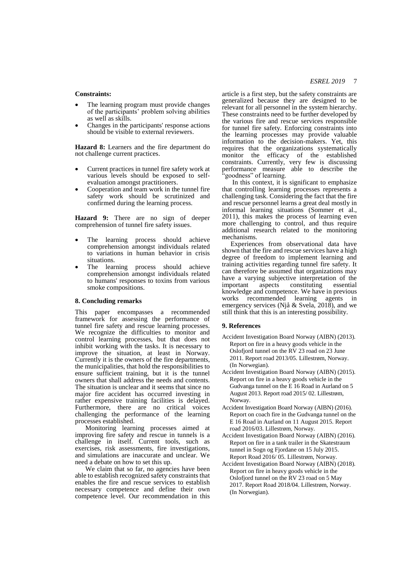# *ESREL 2019* 7

# **Constraints:**

- The learning program must provide changes of the participants' problem solving abilities as well as skills.
- Changes in the participants' response actions should be visible to external reviewers.

**Hazard 8:** Learners and the fire department do not challenge current practices.

- Current practices in tunnel fire safety work at various levels should be exposed to selfevaluation amongst practitioners.
- Cooperation and team work in the tunnel fire safety work should be scrutinized and confirmed during the learning process.

**Hazard 9:** There are no sign of deeper comprehension of tunnel fire safety issues.

- The learning process should achieve comprehension amongst individuals related to variations in human behavior in crisis situations.
- The learning process should achieve comprehension amongst individuals related to humans' responses to toxins from various smoke compositions.

#### **8. Concluding remarks**

This paper encompasses a recommended framework for assessing the performance of tunnel fire safety and rescue learning processes. We recognize the difficulties to monitor and control learning processes, but that does not inhibit working with the tasks. It is necessary to improve the situation, at least in Norway. Currently it is the owners of the fire departments, the municipalities, that hold the responsibilities to ensure sufficient training, but it is the tunnel owners that shall address the needs and contents. The situation is unclear and it seems that since no major fire accident has occurred investing in rather expensive training facilities is delayed. Furthermore, there are no critical voices challenging the performance of the learning processes established.

 Monitoring learning processes aimed at improving fire safety and rescue in tunnels is a challenge in itself. Current tools, such as exercises, risk assessments, fire investigations, and simulations are inaccurate and unclear. We need a debate on how to set this up.

We claim that so far, no agencies have been able to establish recognized safety constraints that enables the fire and rescue services to establish necessary competence and define their own competence level. Our recommendation in this article is a first step, but the safety constraints are generalized because they are designed to be relevant for all personnel in the system hierarchy. These constraints need to be further developed by the various fire and rescue services responsible for tunnel fire safety. Enforcing constraints into the learning processes may provide valuable information to the decision-makers. Yet, this requires that the organizations systematically monitor the efficacy of the established constraints. Currently, very few is discussing performance measure able to describe the 'goodness" of learning.

 In this context, it is significant to emphasize that controlling learning processes represents a challenging task. Considering the fact that the fire and rescue personnel learns a great deal mostly in informal learning situations (Sommer et al., 2011), this makes the process of learning even more challenging to control, and thus require additional research related to the monitoring mechanisms.

 Experiences from observational data have shown that the fire and rescue services have a high degree of freedom to implement learning and training activities regarding tunnel fire safety. It can therefore be assumed that organizations may have a varying subjective interpretation of the important aspects constituting essential knowledge and competence. We have in previous works recommended learning agents in emergency services (Njå & Svela, 2018), and we still think that this is an interesting possibility.

#### **9. References**

- Accident Investigation Board Norway (AIBN) (2013). Report on fire in a heavy goods vehicle in the Oslofjord tunnel on the RV 23 road on 23 June 2011. Report road 2013/05. Lillestrøm, Norway. (In Norwegian).
- Accident Investigation Board Norway (AIBN) (2015). Report on fire in a heavy goods vehicle in the Gudvanga tunnel on the E 16 Road in Aurland on 5 August 2013. Report road 2015/ 02. Lillestrøm, Norway.
- Accident Investigation Board Norway (AIBN) (2016). Report on coach fire in the Gudvanga tunnel on the E 16 Road in Aurland on 11 August 2015. Report road 2016/03. Lillestrøm, Norway.
- Accident Investigation Board Norway (AIBN) (2016). Report on fire in a tank trailer in the Skatestraum tunnel in Sogn og Fjordane on 15 July 2015. Report Road 2016/ 05. Lillestrøm, Norway.
- Accident Investigation Board Norway (AIBN) (2018). Report on fire in heavy goods vehicle in the Oslofjord tunnel on the RV 23 road on 5 May 2017. Report Road 2018/04. Lillestrøm, Norway. (In Norwegian).